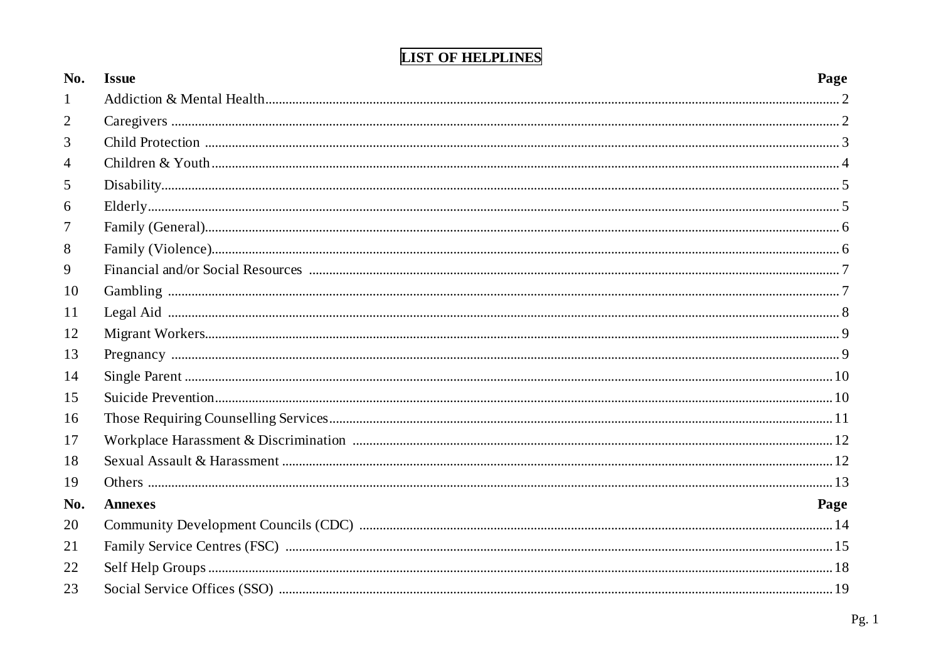| No.          | <b>Issue</b>   | Page |
|--------------|----------------|------|
| $\mathbf{1}$ |                |      |
| 2            |                |      |
| 3            |                |      |
| 4            |                |      |
| 5            |                |      |
| 6            |                |      |
| 7            |                |      |
| 8            |                |      |
| 9            |                |      |
| 10           |                |      |
| 11           |                |      |
| 12           |                |      |
| 13           |                |      |
| 14           |                |      |
| 15           |                |      |
| 16           |                |      |
| 17           |                |      |
| 18           |                |      |
| 19           |                |      |
| No.          | <b>Annexes</b> | Page |
| 20           |                |      |
| 21           |                |      |
| 22           |                |      |
| 23           |                |      |

# **LIST OF HELPLINES**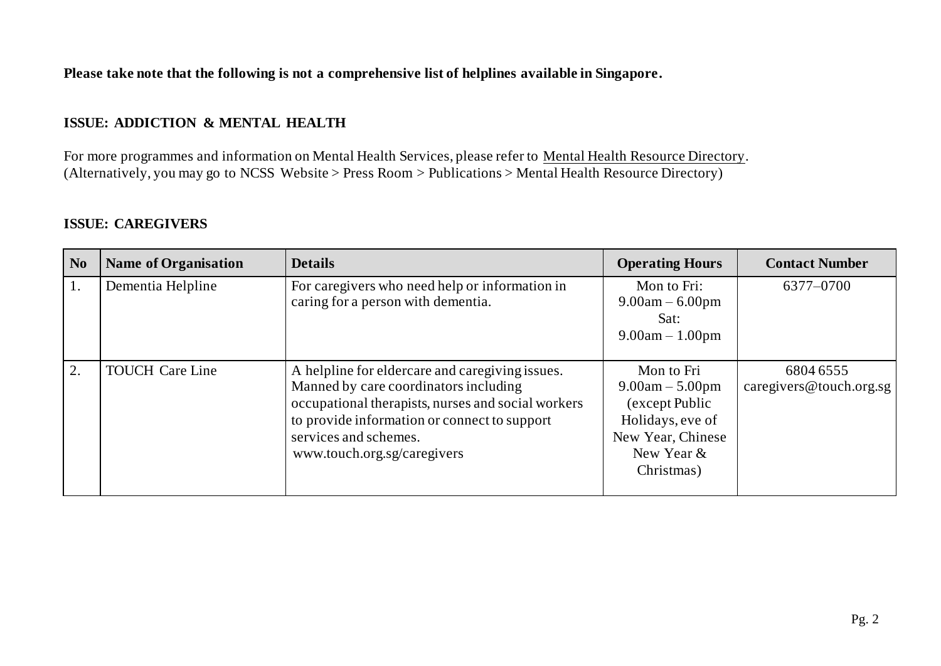**Please take note that the following is not a comprehensive list of helplines available in Singapore.**

#### **ISSUE: ADDICTION & MENTAL HEALTH**

For more programmes and information on Mental Health Services, please refer to [Mental Health Resource Directory](http://www.ncss.gov.sg/Press-Room/Publications/Detail-Page?id=Mental-Health-Resource-Directory). (Alternatively, you may go to NCSS Website > Press Room > Publications > Mental Health Resource Directory)

#### **ISSUE: CAREGIVERS**

| N <sub>0</sub> | <b>Name of Organisation</b> | <b>Details</b>                                                                                                                                                                                                                                         | <b>Operating Hours</b>                                                                                                 | <b>Contact Number</b>                |
|----------------|-----------------------------|--------------------------------------------------------------------------------------------------------------------------------------------------------------------------------------------------------------------------------------------------------|------------------------------------------------------------------------------------------------------------------------|--------------------------------------|
|                | Dementia Helpline           | For caregivers who need help or information in<br>caring for a person with dementia.                                                                                                                                                                   | Mon to Fri:<br>$9.00am - 6.00pm$<br>Sat:<br>$9.00am - 1.00pm$                                                          | 6377-0700                            |
| 2.             | <b>TOUCH Care Line</b>      | A helpline for eldercare and caregiving issues.<br>Manned by care coordinators including<br>occupational therapists, nurses and social workers<br>to provide information or connect to support<br>services and schemes.<br>www.touch.org.sg/caregivers | Mon to Fri<br>$9.00am - 5.00pm$<br>(except Public<br>Holidays, eve of<br>New Year, Chinese<br>New Year &<br>Christmas) | 6804 6555<br>caregivers@touch.org.sg |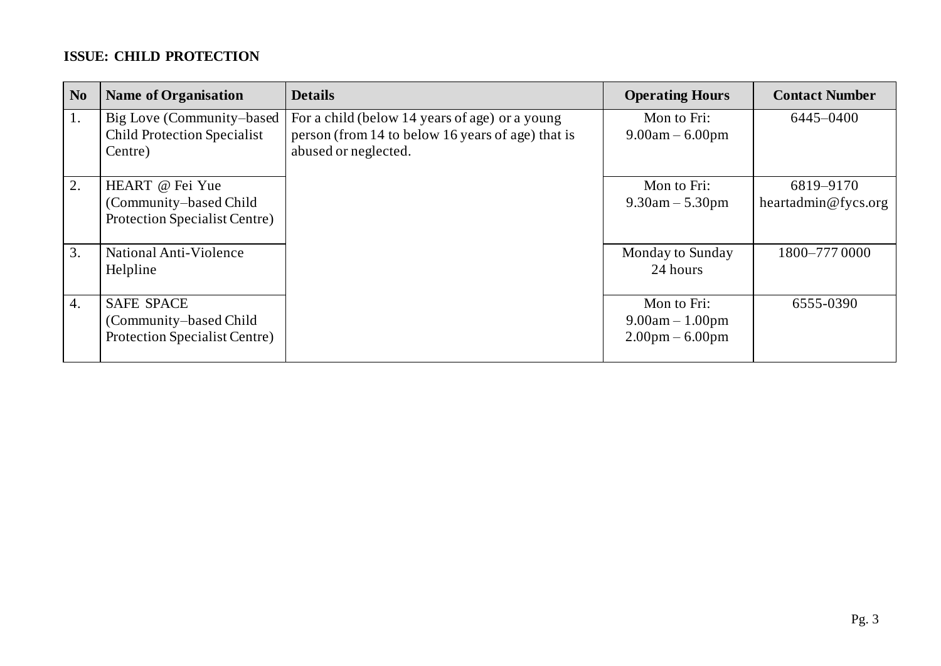### **ISSUE: CHILD PROTECTION**

| N <sub>0</sub> | <b>Name of Organisation</b>                                                   | <b>Details</b>                                                                                                              | <b>Operating Hours</b>                                                | <b>Contact Number</b>            |
|----------------|-------------------------------------------------------------------------------|-----------------------------------------------------------------------------------------------------------------------------|-----------------------------------------------------------------------|----------------------------------|
| 1.             | Big Love (Community–based<br><b>Child Protection Specialist</b><br>Centre)    | For a child (below 14 years of age) or a young<br>person (from 14 to below 16 years of age) that is<br>abused or neglected. | Mon to Fri:<br>$9.00am - 6.00pm$                                      | 6445-0400                        |
| 2.             | HEART @ Fei Yue<br>(Community-based Child)<br>Protection Specialist Centre)   |                                                                                                                             | Mon to Fri:<br>$9.30$ am $- 5.30$ pm                                  | 6819-9170<br>heartadmin@fycs.org |
| 3.             | National Anti-Violence<br>Helpline                                            |                                                                                                                             | Monday to Sunday<br>24 hours                                          | 1800-777 0000                    |
| 4.             | <b>SAFE SPACE</b><br>(Community-based Child)<br>Protection Specialist Centre) |                                                                                                                             | Mon to Fri:<br>$9.00am - 1.00pm$<br>$2.00 \text{pm} - 6.00 \text{pm}$ | 6555-0390                        |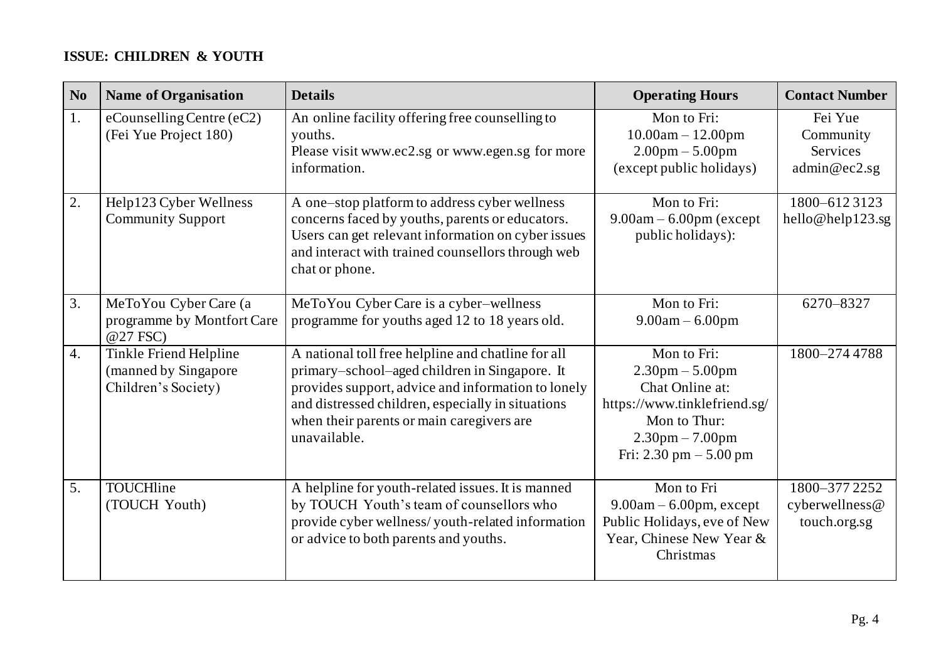### **ISSUE: CHILDREN & YOUTH**

| N <sub>0</sub> | <b>Name of Organisation</b>                                           | <b>Details</b>                                                                                                                                                                                                                                                              | <b>Operating Hours</b>                                                                                                                                       | <b>Contact Number</b>                            |
|----------------|-----------------------------------------------------------------------|-----------------------------------------------------------------------------------------------------------------------------------------------------------------------------------------------------------------------------------------------------------------------------|--------------------------------------------------------------------------------------------------------------------------------------------------------------|--------------------------------------------------|
| 1.             | $e$ Counselling Centre $(eC2)$<br>(Fei Yue Project 180)               | An online facility offering free counselling to<br>youths.<br>Please visit www.ec2.sg or www.egen.sg for more<br>information.                                                                                                                                               | Mon to Fri:<br>$10.00am - 12.00pm$<br>$2.00 \text{pm} - 5.00 \text{pm}$<br>(except public holidays)                                                          | Fei Yue<br>Community<br>Services<br>admin@ec2.sg |
| 2.             | Help123 Cyber Wellness<br><b>Community Support</b>                    | A one-stop platform to address cyber wellness<br>concerns faced by youths, parents or educators.<br>Users can get relevant information on cyber issues<br>and interact with trained counsellors through web<br>chat or phone.                                               | Mon to Fri:<br>$9.00am - 6.00pm$ (except<br>public holidays):                                                                                                | 1800-6123123<br>hello@help123.sg                 |
| 3.             | MeToYou Cyber Care (a<br>programme by Montfort Care<br>@27 FSC)       | MeToYou Cyber Care is a cyber-wellness<br>programme for youths aged 12 to 18 years old.                                                                                                                                                                                     | Mon to Fri:<br>$9.00am - 6.00pm$                                                                                                                             | 6270-8327                                        |
| 4.             | Tinkle Friend Helpline<br>(manned by Singapore<br>Children's Society) | A national toll free helpline and chatline for all<br>primary-school-aged children in Singapore. It<br>provides support, advice and information to lonely<br>and distressed children, especially in situations<br>when their parents or main caregivers are<br>unavailable. | Mon to Fri:<br>$2.30$ pm $- 5.00$ pm<br>Chat Online at:<br>https://www.tinklefriend.sg/<br>Mon to Thur:<br>$2.30$ pm $- 7.00$ pm<br>Fri: 2.30 pm $- 5.00$ pm | 1800-2744788                                     |
| 5.             | TOUCHline<br>(TOUCH Youth)                                            | A helpline for youth-related issues. It is manned<br>by TOUCH Youth's team of counsellors who<br>provide cyber wellness/youth-related information<br>or advice to both parents and youths.                                                                                  | Mon to Fri<br>$9.00am - 6.00pm$ , except<br>Public Holidays, eve of New<br>Year, Chinese New Year &<br>Christmas                                             | 1800-3772252<br>cyberwellness@<br>touch.org.sg   |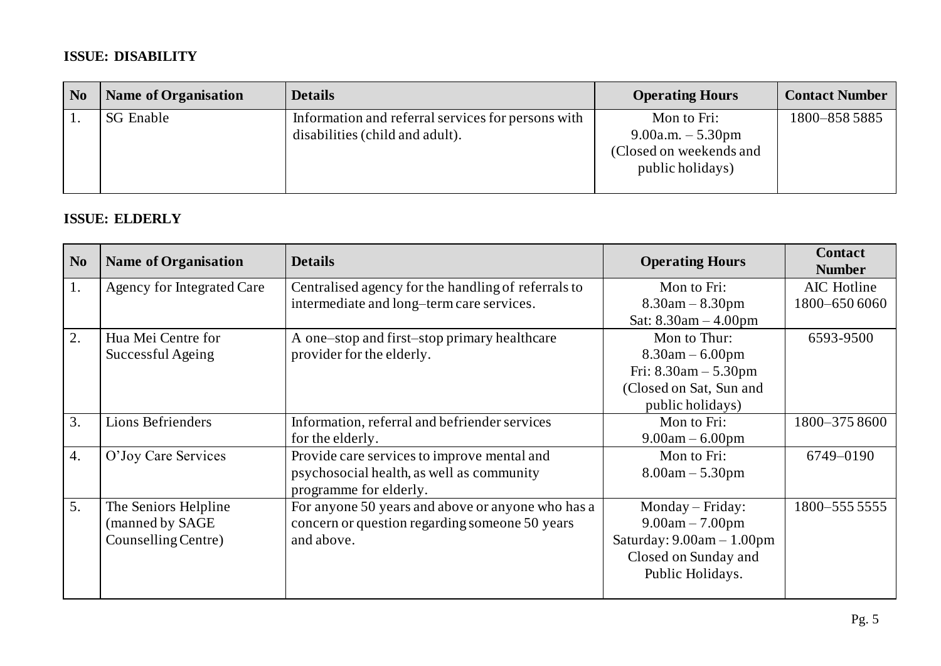### **ISSUE: DISABILITY**

| N <sub>0</sub> | <b>Name of Organisation</b> | <b>Details</b>                                                                        | <b>Operating Hours</b>                                                            | <b>Contact Number</b> |
|----------------|-----------------------------|---------------------------------------------------------------------------------------|-----------------------------------------------------------------------------------|-----------------------|
|                | <b>SG</b> Enable            | Information and referral services for persons with<br>disabilities (child and adult). | Mon to Fri:<br>9.00a.m. $-5.30$ pm<br>(Closed on weekends and<br>public holidays) | 1800-8585885          |

#### **ISSUE: ELDERLY**

| N <sub>o</sub> | <b>Name of Organisation</b>       | <b>Details</b>                                      | <b>Operating Hours</b>      | <b>Contact</b><br><b>Number</b> |
|----------------|-----------------------------------|-----------------------------------------------------|-----------------------------|---------------------------------|
| 1.             | <b>Agency for Integrated Care</b> | Centralised agency for the handling of referrals to | Mon to Fri:                 | AIC Hotline                     |
|                |                                   | intermediate and long-term care services.           | $8.30$ am $- 8.30$ pm       | 1800-650 6060                   |
|                |                                   |                                                     | Sat: $8.30am - 4.00pm$      |                                 |
| 2.             | Hua Mei Centre for                | A one-stop and first-stop primary healthcare        | Mon to Thur:                | 6593-9500                       |
|                | Successful Ageing                 | provider for the elderly.                           | $8.30$ am $- 6.00$ pm       |                                 |
|                |                                   |                                                     | Fri: $8.30am - 5.30pm$      |                                 |
|                |                                   |                                                     | (Closed on Sat, Sun and     |                                 |
|                |                                   |                                                     | public holidays)            |                                 |
| 3.             | <b>Lions Befrienders</b>          | Information, referral and befriender services       | Mon to Fri:                 | 1800-3758600                    |
|                |                                   | for the elderly.                                    | $9.00am - 6.00pm$           |                                 |
| 4.             | O'Joy Care Services               | Provide care services to improve mental and         | Mon to Fri:                 | 6749-0190                       |
|                |                                   | psychosocial health, as well as community           | $8.00am - 5.30pm$           |                                 |
|                |                                   | programme for elderly.                              |                             |                                 |
| 5.             | The Seniors Helpline              | For anyone 50 years and above or anyone who has a   | Monday – Friday:            | 1800-555 5555                   |
|                | (manned by SAGE                   | concern or question regarding someone 50 years      | $9.00am - 7.00pm$           |                                 |
|                | Counselling Centre)               | and above.                                          | Saturday: $9.00am - 1.00pm$ |                                 |
|                |                                   |                                                     | Closed on Sunday and        |                                 |
|                |                                   |                                                     | Public Holidays.            |                                 |
|                |                                   |                                                     |                             |                                 |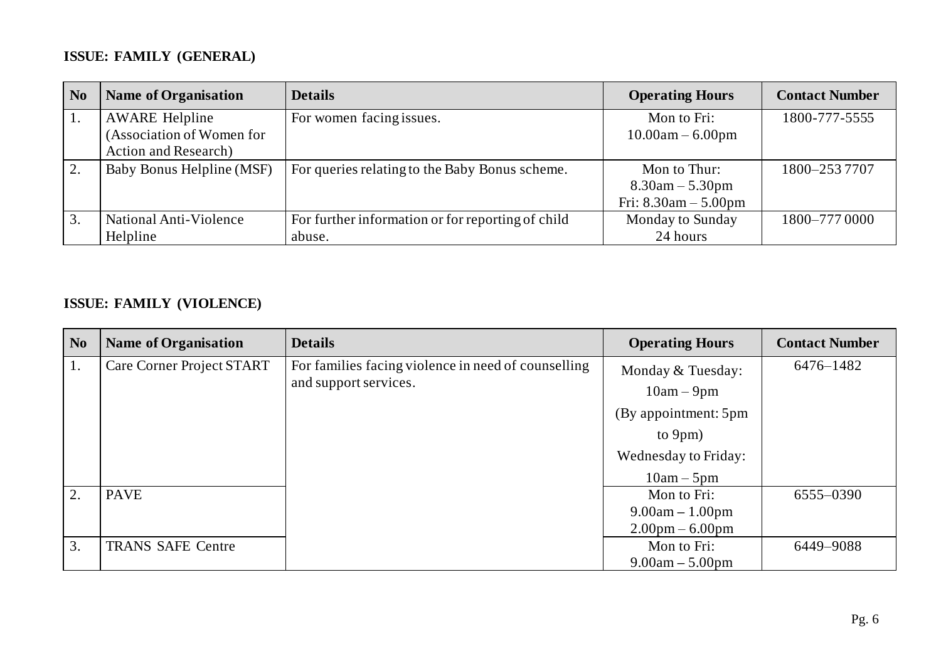## **ISSUE: FAMILY (GENERAL)**

| N <sub>0</sub> | <b>Name of Organisation</b>  | <b>Details</b>                                    | <b>Operating Hours</b> | <b>Contact Number</b> |
|----------------|------------------------------|---------------------------------------------------|------------------------|-----------------------|
|                | <b>AWARE Helpline</b>        | For women facing issues.                          | Mon to Fri:            | 1800-777-5555         |
|                | (Association of Women for    |                                                   | $10.00am - 6.00pm$     |                       |
|                | <b>Action and Research</b> ) |                                                   |                        |                       |
|                | Baby Bonus Helpline (MSF)    | For queries relating to the Baby Bonus scheme.    | Mon to Thur:           | 1800-2537707          |
|                |                              |                                                   | $8.30$ am $- 5.30$ pm  |                       |
|                |                              |                                                   | Fri: $8.30am - 5.00pm$ |                       |
|                | National Anti-Violence       | For further information or for reporting of child | Monday to Sunday       | 1800-777 0000         |
|                | Helpline                     | abuse.                                            | 24 hours               |                       |

### **ISSUE: FAMILY (VIOLENCE)**

| N <sub>0</sub> | <b>Name of Organisation</b> | <b>Details</b>                                      | <b>Operating Hours</b>            | <b>Contact Number</b> |
|----------------|-----------------------------|-----------------------------------------------------|-----------------------------------|-----------------------|
|                | Care Corner Project START   | For families facing violence in need of counselling | Monday & Tuesday:                 | 6476-1482             |
|                | and support services.       | $10am - 9pm$                                        |                                   |                       |
|                |                             |                                                     | (By appointment: 5pm              |                       |
|                |                             |                                                     | to 9pm)                           |                       |
|                |                             |                                                     | Wednesday to Friday:              |                       |
|                |                             |                                                     | $10am - 5pm$                      |                       |
| 2.             | <b>PAVE</b>                 |                                                     | Mon to Fri:                       | 6555-0390             |
|                |                             |                                                     | $9.00am - 1.00pm$                 |                       |
|                |                             |                                                     | $2.00 \text{pm} - 6.00 \text{pm}$ |                       |
| 3.             | <b>TRANS SAFE Centre</b>    |                                                     | Mon to Fri:                       | 6449-9088             |
|                |                             |                                                     | $9.00am - 5.00pm$                 |                       |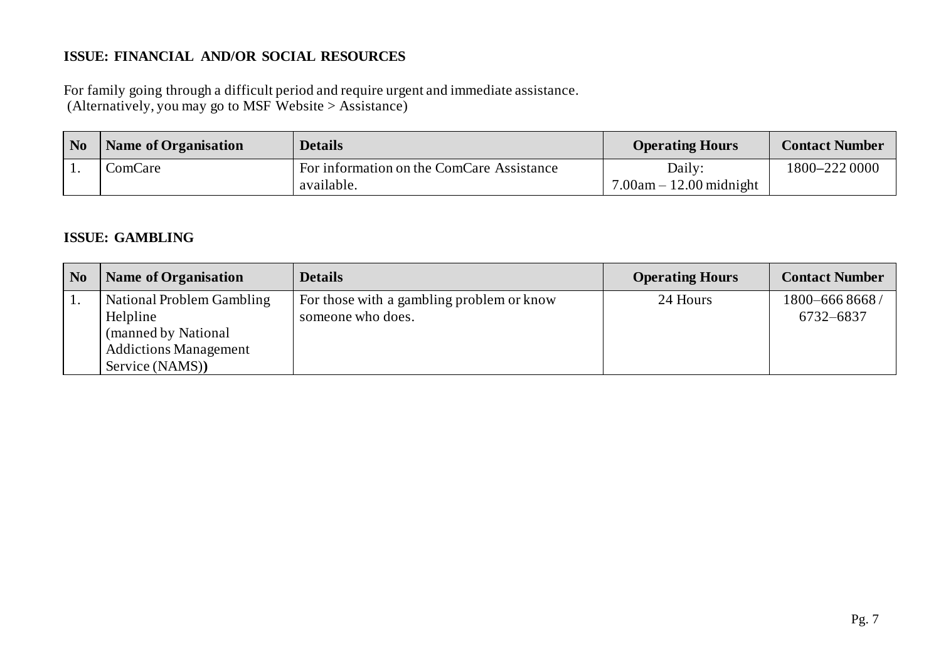#### **ISSUE: FINANCIAL AND/OR SOCIAL RESOURCES**

For family going through a difficult period and require urgent and immediate assistance. (Alternatively, you may go to MSF Website > Assistance)

| N <sub>0</sub> | <b>Name of Organisation</b> | <b>Details</b>                            | <b>Operating Hours</b>    | <b>Contact Number</b> |
|----------------|-----------------------------|-------------------------------------------|---------------------------|-----------------------|
| . .            | ComCare                     | For information on the ComCare Assistance | Daily:                    | 1800-222 0000         |
|                |                             | available.                                | $7.00am - 12.00 midnight$ |                       |

#### **ISSUE: GAMBLING**

| N <sub>0</sub> | <b>Name of Organisation</b>  | <b>Details</b>                            | <b>Operating Hours</b> | <b>Contact Number</b> |
|----------------|------------------------------|-------------------------------------------|------------------------|-----------------------|
| 1.             | National Problem Gambling    | For those with a gambling problem or know | 24 Hours               | 1800-6668668/         |
|                | Helpline                     | someone who does.                         |                        | 6732-6837             |
|                | (manned by National)         |                                           |                        |                       |
|                | <b>Addictions Management</b> |                                           |                        |                       |
|                | Service (NAMS))              |                                           |                        |                       |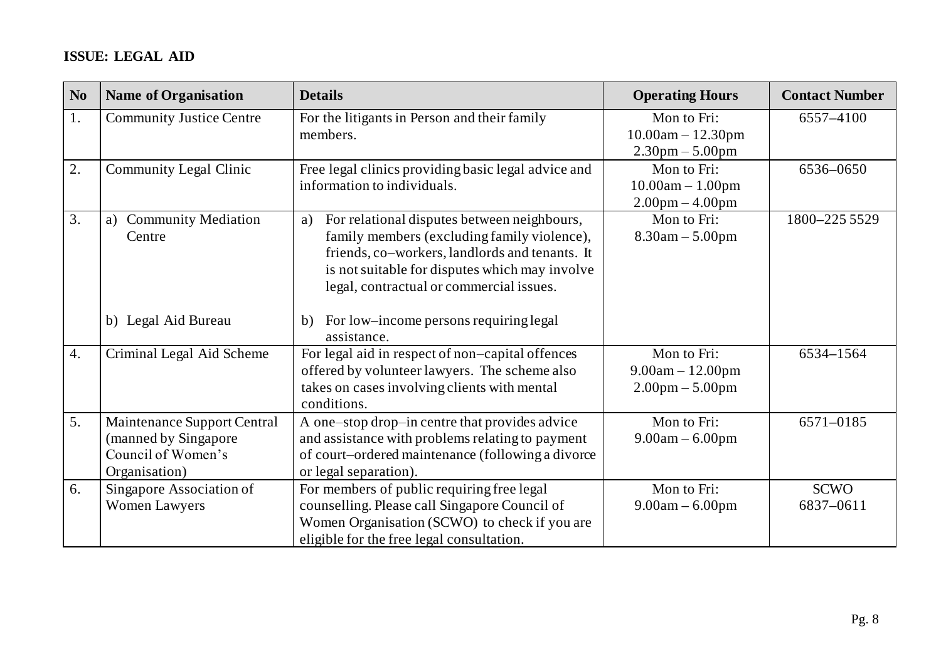## **ISSUE: LEGAL AID**

| N <sub>0</sub> | <b>Name of Organisation</b>                                                                | <b>Details</b>                                                                                                                                                                                                                                   | <b>Operating Hours</b>                                                  | <b>Contact Number</b>    |
|----------------|--------------------------------------------------------------------------------------------|--------------------------------------------------------------------------------------------------------------------------------------------------------------------------------------------------------------------------------------------------|-------------------------------------------------------------------------|--------------------------|
| 1.             | <b>Community Justice Centre</b>                                                            | For the litigants in Person and their family<br>members.                                                                                                                                                                                         | Mon to Fri:<br>$10.00am - 12.30pm$<br>$2.30 \text{pm} - 5.00 \text{pm}$ | 6557-4100                |
| 2.             | <b>Community Legal Clinic</b>                                                              | Free legal clinics providing basic legal advice and<br>information to individuals.                                                                                                                                                               | Mon to Fri:<br>$10.00am - 1.00pm$<br>$2.00 \text{pm} - 4.00 \text{pm}$  | 6536-0650                |
| 3.             | <b>Community Mediation</b><br>a)<br>Centre                                                 | For relational disputes between neighbours,<br>a)<br>family members (excluding family violence),<br>friends, co-workers, landlords and tenants. It<br>is not suitable for disputes which may involve<br>legal, contractual or commercial issues. | Mon to Fri:<br>$8.30$ am $- 5.00$ pm                                    | 1800-225 5529            |
|                | b) Legal Aid Bureau                                                                        | For low-income persons requiring legal<br>b)<br>assistance.                                                                                                                                                                                      |                                                                         |                          |
| 4.             | Criminal Legal Aid Scheme                                                                  | For legal aid in respect of non-capital offences<br>offered by volunteer lawyers. The scheme also<br>takes on cases involving clients with mental<br>conditions.                                                                                 | Mon to Fri:<br>$9.00am - 12.00pm$<br>$2.00 \text{pm} - 5.00 \text{pm}$  | 6534-1564                |
| 5.             | Maintenance Support Central<br>(manned by Singapore<br>Council of Women's<br>Organisation) | A one-stop drop-in centre that provides advice<br>and assistance with problems relating to payment<br>of court-ordered maintenance (following a divorce<br>or legal separation).                                                                 | Mon to Fri:<br>$9.00am - 6.00pm$                                        | 6571-0185                |
| 6.             | Singapore Association of<br><b>Women Lawyers</b>                                           | For members of public requiring free legal<br>counselling. Please call Singapore Council of<br>Women Organisation (SCWO) to check if you are<br>eligible for the free legal consultation.                                                        | Mon to Fri:<br>$9.00am - 6.00pm$                                        | <b>SCWO</b><br>6837-0611 |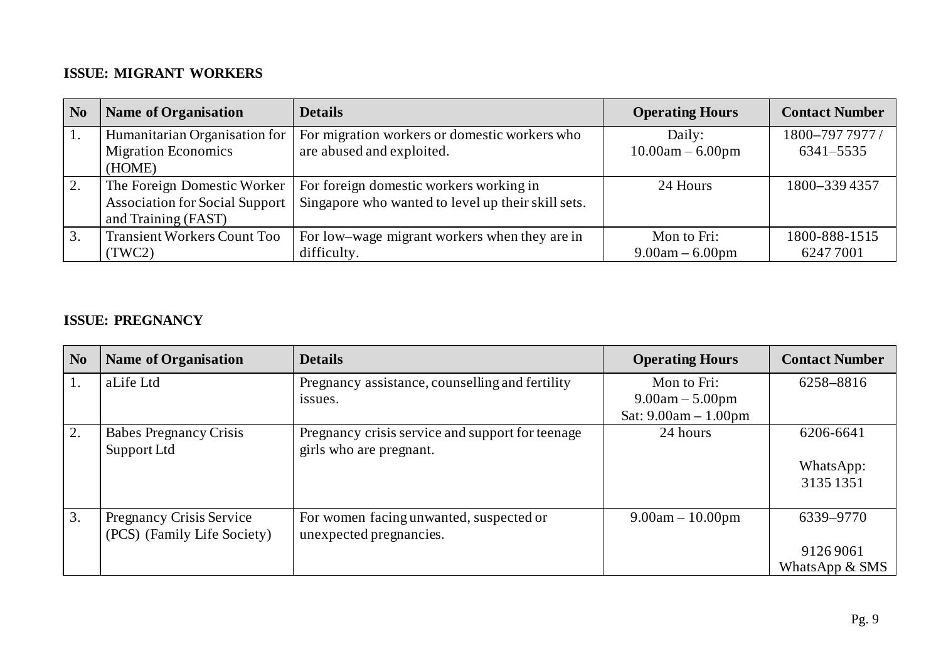#### **ISSUE: MIGRANT WORKERS**

| N <sub>0</sub> | <b>Name of Organisation</b>           | <b>Details</b>                                     | <b>Operating Hours</b> | <b>Contact Number</b> |
|----------------|---------------------------------------|----------------------------------------------------|------------------------|-----------------------|
| 1.             | Humanitarian Organisation for         | For migration workers or domestic workers who      | Daily:                 | 1800-797 7977/        |
|                | <b>Migration Economics</b>            | are abused and exploited.                          | $10.00am - 6.00pm$     | 6341-5535             |
|                | (HOME)                                |                                                    |                        |                       |
| 2.             | The Foreign Domestic Worker           | For foreign domestic workers working in            | 24 Hours               | 1800-339 4357         |
|                | <b>Association for Social Support</b> | Singapore who wanted to level up their skill sets. |                        |                       |
|                | and Training (FAST)                   |                                                    |                        |                       |
| 3.             | <b>Transient Workers Count Too</b>    | For low–wage migrant workers when they are in      | Mon to Fri:            | 1800-888-1515         |
|                | (TWC2)                                | difficulty.                                        | $9.00am - 6.00pm$      | 62477001              |

#### **ISSUE: PREGNANCY**

| $\overline{\phantom{a}}$ No | <b>Name of Organisation</b>                             | <b>Details</b>                                                              | <b>Operating Hours</b>                                     | <b>Contact Number</b>                     |
|-----------------------------|---------------------------------------------------------|-----------------------------------------------------------------------------|------------------------------------------------------------|-------------------------------------------|
| 1.                          | aLife Ltd                                               | Pregnancy assistance, counselling and fertility<br>issues.                  | Mon to Fri:<br>$9.00am - 5.00pm$<br>Sat: $9.00am - 1.00pm$ | 6258-8816                                 |
| 2.                          | <b>Babes Pregnancy Crisis</b><br>Support Ltd            | Pregnancy crisis service and support for teenage<br>girls who are pregnant. | 24 hours                                                   | 6206-6641<br>WhatsApp:<br>3135 1351       |
| 3.                          | Pregnancy Crisis Service<br>(PCS) (Family Life Society) | For women facing unwanted, suspected or<br>unexpected pregnancies.          | $9.00am - 10.00pm$                                         | 6339-9770<br>91269061<br>WhatsApp $&$ SMS |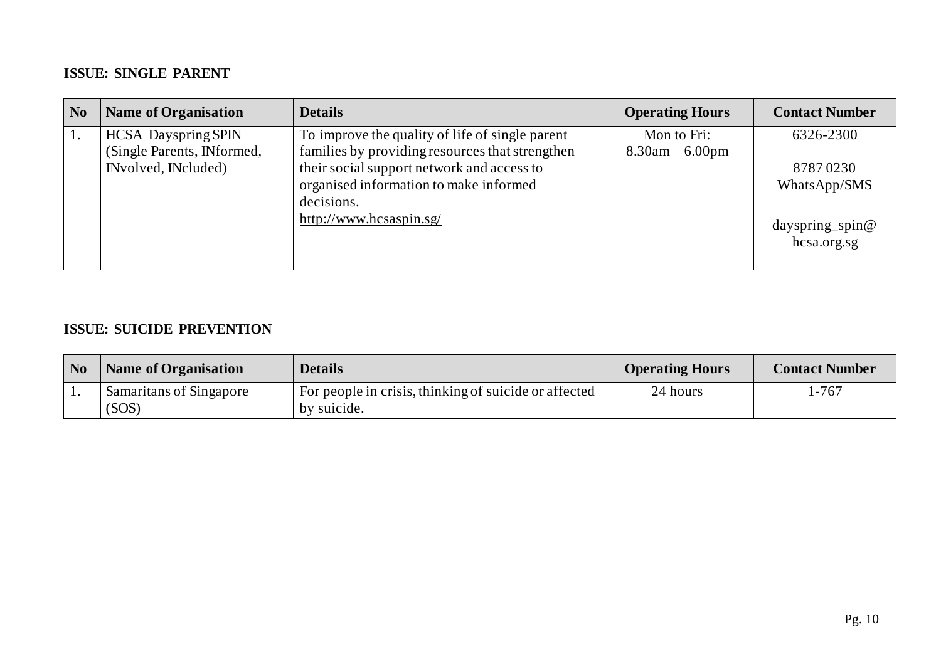#### **ISSUE: SINGLE PARENT**

| N <sub>0</sub> | <b>Name of Organisation</b> | <b>Details</b>                                  | <b>Operating Hours</b> | <b>Contact Number</b>             |
|----------------|-----------------------------|-------------------------------------------------|------------------------|-----------------------------------|
|                | <b>HCSA</b> Dayspring SPIN  | To improve the quality of life of single parent | Mon to Fri:            | 6326-2300                         |
|                | (Single Parents, INformed,  | families by providing resources that strengthen | $8.30$ am $- 6.00$ pm  |                                   |
|                | INvolved, INcluded)         | their social support network and access to      |                        | 87870230                          |
|                |                             | organised information to make informed          |                        | WhatsApp/SMS                      |
|                |                             | decisions.                                      |                        |                                   |
|                |                             | http://www.hcsaspin.sg/                         |                        | dayspring spin $@$<br>hcsa.org.sg |

#### **ISSUE: SUICIDE PREVENTION**

| N <sub>0</sub> | Name of Organisation             | <b>Details</b>                                                       | <b>Operating Hours</b> | <b>Contact Number</b> |
|----------------|----------------------------------|----------------------------------------------------------------------|------------------------|-----------------------|
|                | Samaritans of Singapore<br>(SOS) | For people in crisis, thinking of suicide or affected<br>by suicide. | 24 hours               | l -767                |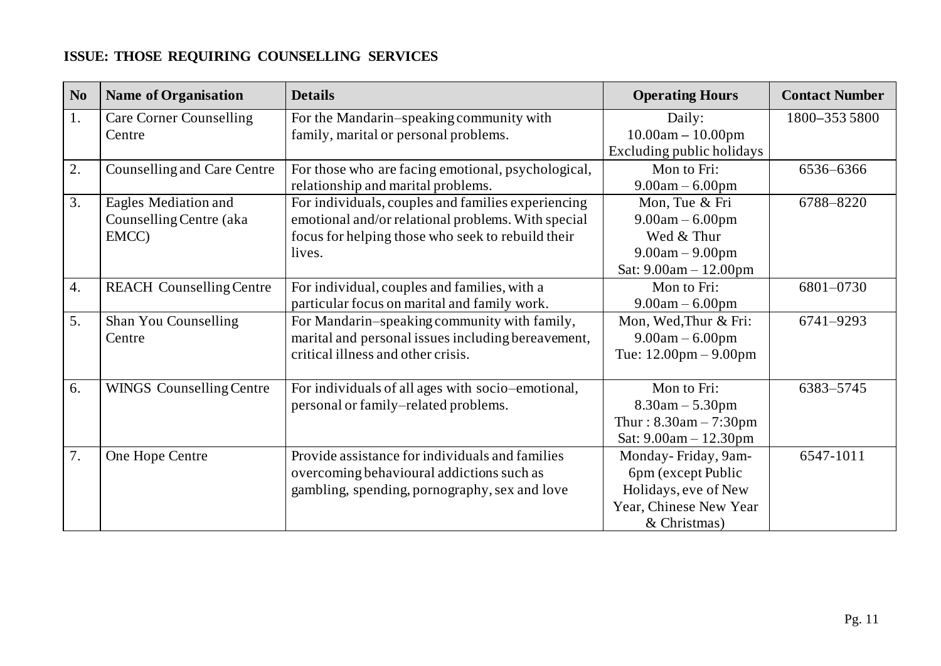## **ISSUE: THOSE REQUIRING COUNSELLING SERVICES**

| N <sub>0</sub> | <b>Name of Organisation</b>     | <b>Details</b>                                     | <b>Operating Hours</b>                  | <b>Contact Number</b> |
|----------------|---------------------------------|----------------------------------------------------|-----------------------------------------|-----------------------|
| 1.             | <b>Care Corner Counselling</b>  | For the Mandarin-speaking community with           | Daily:                                  | 1800-3535800          |
|                | Centre                          | family, marital or personal problems.              | $10.00am - 10.00pm$                     |                       |
|                |                                 |                                                    | Excluding public holidays               |                       |
| 2.             | Counselling and Care Centre     | For those who are facing emotional, psychological, | Mon to Fri:                             | 6536-6366             |
|                |                                 | relationship and marital problems.                 | $9.00am - 6.00pm$                       |                       |
| 3.             | Eagles Mediation and            | For individuals, couples and families experiencing | Mon, Tue & Fri                          | 6788-8220             |
|                | Counselling Centre (aka         | emotional and/or relational problems. With special | $9.00am - 6.00pm$                       |                       |
|                | EMCC)                           | focus for helping those who seek to rebuild their  | Wed & Thur                              |                       |
|                |                                 | lives.                                             | $9.00am - 9.00pm$                       |                       |
|                |                                 |                                                    | Sat: $9.00am - 12.00pm$                 |                       |
| 4.             | <b>REACH Counselling Centre</b> | For individual, couples and families, with a       | Mon to Fri:                             | 6801-0730             |
|                |                                 | particular focus on marital and family work.       | $9.00am - 6.00pm$                       |                       |
| 5.             | Shan You Counselling            | For Mandarin-speaking community with family,       | Mon, Wed, Thur & Fri:                   | 6741-9293             |
|                | Centre                          | marital and personal issues including bereavement, | $9.00am - 6.00pm$                       |                       |
|                |                                 | critical illness and other crisis.                 | Tue: $12.00 \text{pm} - 9.00 \text{pm}$ |                       |
|                |                                 |                                                    |                                         |                       |
| 6.             | <b>WINGS Counselling Centre</b> | For individuals of all ages with socio-emotional,  | Mon to Fri:                             | 6383-5745             |
|                |                                 | personal or family-related problems.               | $8.30$ am $- 5.30$ pm                   |                       |
|                |                                 |                                                    | Thur: $8.30$ am $- 7:30$ pm             |                       |
|                |                                 |                                                    | Sat: 9.00am - 12.30pm                   |                       |
| 7.             | One Hope Centre                 | Provide assistance for individuals and families    | Monday-Friday, 9am-                     | 6547-1011             |
|                |                                 | overcoming behavioural addictions such as          | 6pm (except Public                      |                       |
|                |                                 | gambling, spending, pornography, sex and love      | Holidays, eve of New                    |                       |
|                |                                 |                                                    | Year, Chinese New Year                  |                       |
|                |                                 |                                                    | & Christmas)                            |                       |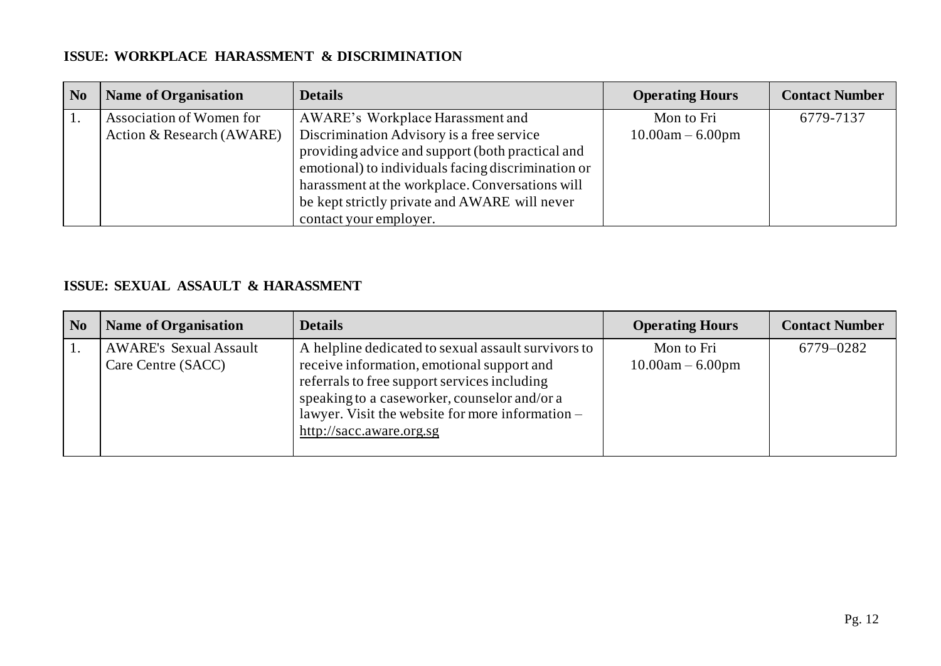#### **ISSUE: WORKPLACE HARASSMENT & DISCRIMINATION**

| N <sub>0</sub> | <b>Name of Organisation</b> | <b>Details</b>                                     | <b>Operating Hours</b> | <b>Contact Number</b> |
|----------------|-----------------------------|----------------------------------------------------|------------------------|-----------------------|
|                | Association of Women for    | AWARE's Workplace Harassment and                   | Mon to Fri             | 6779-7137             |
|                | Action & Research (AWARE)   | Discrimination Advisory is a free service          | $10.00am - 6.00pm$     |                       |
|                |                             | providing advice and support (both practical and   |                        |                       |
|                |                             | emotional) to individuals facing discrimination or |                        |                       |
|                |                             | harassment at the workplace. Conversations will    |                        |                       |
|                |                             | be kept strictly private and AWARE will never      |                        |                       |
|                |                             | contact your employer.                             |                        |                       |

#### **ISSUE: SEXUAL ASSAULT & HARASSMENT**

| N <sub>0</sub> | <b>Name of Organisation</b>                         | <b>Details</b>                                                                                                                                                                                                                                                                    | <b>Operating Hours</b>           | <b>Contact Number</b> |
|----------------|-----------------------------------------------------|-----------------------------------------------------------------------------------------------------------------------------------------------------------------------------------------------------------------------------------------------------------------------------------|----------------------------------|-----------------------|
|                | <b>AWARE's Sexual Assault</b><br>Care Centre (SACC) | A helpline dedicated to sexual assault survivors to<br>receive information, emotional support and<br>referrals to free support services including<br>speaking to a caseworker, counselor and/or a<br>lawyer. Visit the website for more information -<br>http://sacc.aware.org.sg | Mon to Fri<br>$10.00am - 6.00pm$ | 6779-0282             |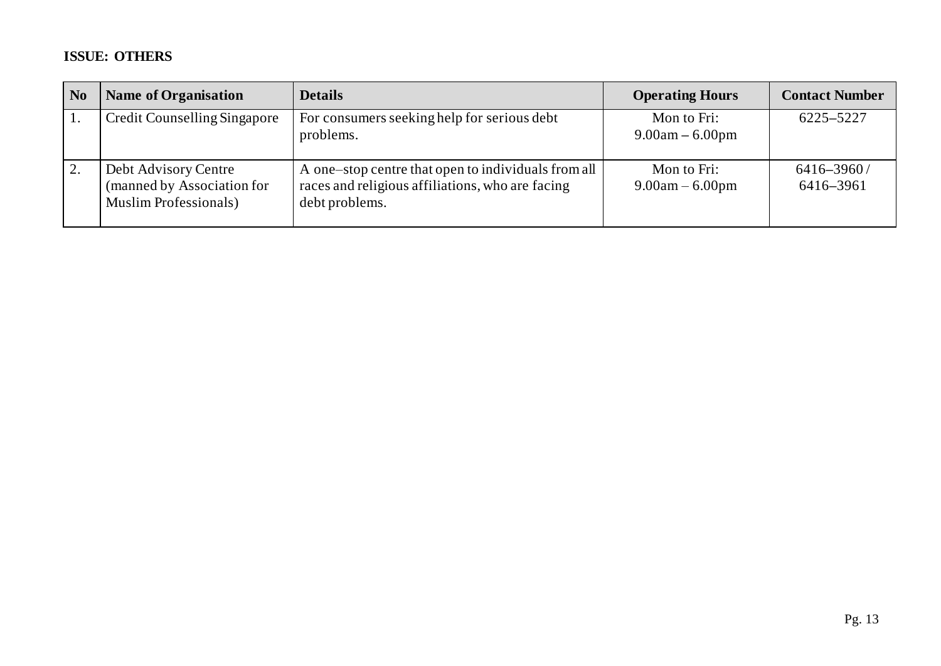## **ISSUE: OTHERS**

| N <sub>0</sub> | <b>Name of Organisation</b>                                                         | <b>Details</b>                                                                                                            | <b>Operating Hours</b>           | <b>Contact Number</b>       |
|----------------|-------------------------------------------------------------------------------------|---------------------------------------------------------------------------------------------------------------------------|----------------------------------|-----------------------------|
|                | Credit Counselling Singapore                                                        | For consumers seeking help for serious debt<br>problems.                                                                  | Mon to Fri:<br>$9.00am - 6.00pm$ | 6225-5227                   |
|                | Debt Advisory Centre<br>(manned by Association for<br><b>Muslim Professionals</b> ) | A one-stop centre that open to individuals from all<br>races and religious affiliations, who are facing<br>debt problems. | Mon to Fri:<br>$9.00am - 6.00pm$ | $6416 - 3960/$<br>6416-3961 |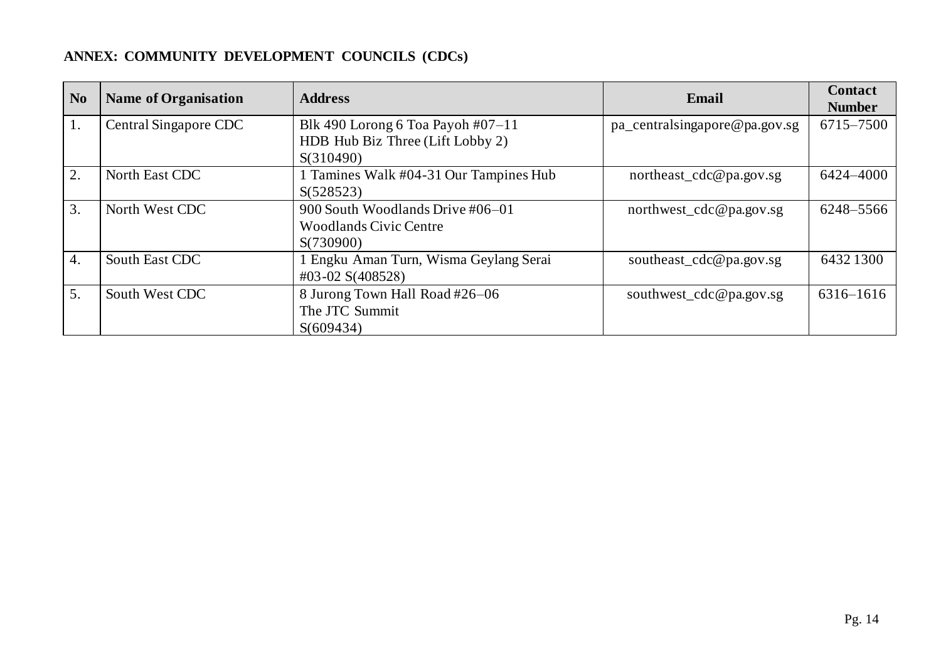## **ANNEX: COMMUNITY DEVELOPMENT COUNCILS (CDCs)**

| N <sub>0</sub>   | <b>Name of Organisation</b> | <b>Address</b>                         | Email                         | <b>Contact</b><br><b>Number</b> |
|------------------|-----------------------------|----------------------------------------|-------------------------------|---------------------------------|
| 1.               | Central Singapore CDC       | Blk 490 Lorong 6 Toa Payoh $\#07-11$   | pa_centralsingapore@pa.gov.sg | 6715-7500                       |
|                  |                             | HDB Hub Biz Three (Lift Lobby 2)       |                               |                                 |
|                  |                             | S(310490)                              |                               |                                 |
| $\overline{2}$ . | North East CDC              | 1 Tamines Walk #04-31 Our Tampines Hub | northeast_cdc@pa.gov.sg       | 6424-4000                       |
|                  |                             | S(528523)                              |                               |                                 |
| $\overline{3}$ . | North West CDC              | 900 South Woodlands Drive #06-01       | northwest_cdc@pa.gov.sg       | 6248-5566                       |
|                  |                             | <b>Woodlands Civic Centre</b>          |                               |                                 |
|                  |                             | S(730900)                              |                               |                                 |
| 4.               | South East CDC              | 1 Engku Aman Turn, Wisma Geylang Serai | southeast_cdc@pa.gov.sg       | 6432 1300                       |
|                  |                             | $\text{\#}03 - 02$ S(408528)           |                               |                                 |
| 5.               | South West CDC              | 8 Jurong Town Hall Road #26-06         | southwest_cdc@pa.gov.sg       | $6316 - 1616$                   |
|                  |                             | The JTC Summit                         |                               |                                 |
|                  |                             | S(609434)                              |                               |                                 |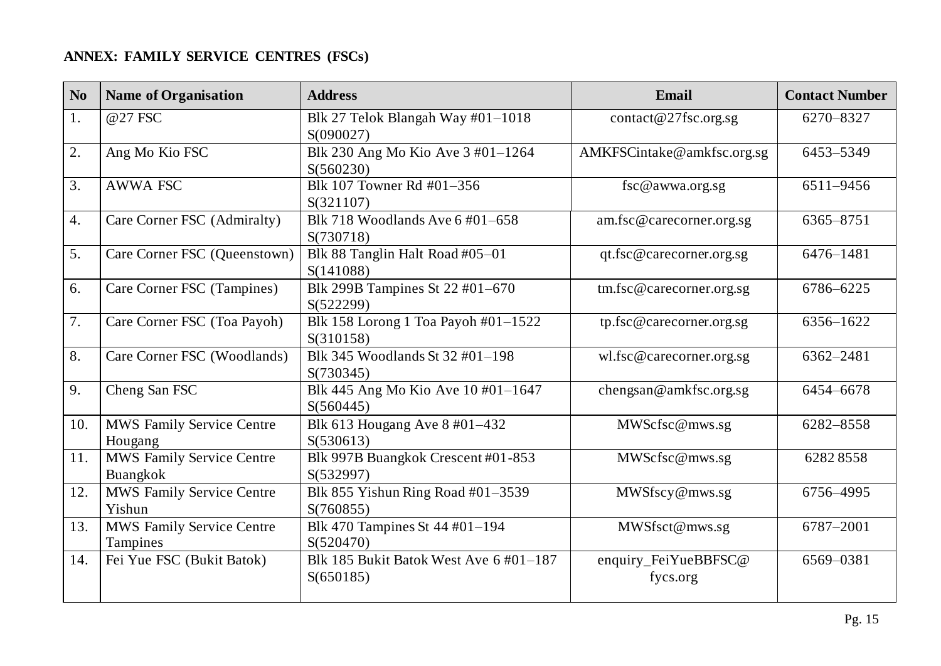## **ANNEX: FAMILY SERVICE CENTRES (FSCs)**

| N <sub>0</sub>   | <b>Name of Organisation</b>                  | <b>Address</b>                                      | Email                            | <b>Contact Number</b> |
|------------------|----------------------------------------------|-----------------------------------------------------|----------------------------------|-----------------------|
| 1.               | @27 FSC                                      | Blk 27 Telok Blangah Way #01-1018<br>S(090027)      | contact@27fsc.org.sg             | 6270-8327             |
| 2.               | Ang Mo Kio FSC                               | Blk 230 Ang Mo Kio Ave 3 #01-1264<br>S(560230)      | AMKFSCintake@amkfsc.org.sg       | 6453-5349             |
| $\overline{3}$ . | <b>AWWA FSC</b>                              | Blk 107 Towner Rd #01-356<br>S(321107)              | fsc@awwa.org.sg                  | 6511-9456             |
| $\overline{4}$ . | Care Corner FSC (Admiralty)                  | Blk 718 Woodlands Ave 6 #01-658<br>S(730718)        | am.fsc@carecorner.org.sg         | 6365-8751             |
| 5.               | Care Corner FSC (Queenstown)                 | Blk 88 Tanglin Halt Road #05-01<br>S(141088)        | qt.fsc@carecorner.org.sg         | 6476-1481             |
| 6.               | Care Corner FSC (Tampines)                   | Blk 299B Tampines St 22 #01-670<br>S(522299)        | tm.fsc@carecorner.org.sg         | 6786-6225             |
| 7.               | Care Corner FSC (Toa Payoh)                  | Blk 158 Lorong 1 Toa Payoh #01-1522<br>S(310158)    | tp.fsc@carecorner.org.sg         | 6356-1622             |
| 8.               | Care Corner FSC (Woodlands)                  | Blk 345 Woodlands St 32 #01-198<br>S(730345)        | wl.fsc@carecorner.org.sg         | 6362-2481             |
| 9.               | Cheng San FSC                                | Blk 445 Ang Mo Kio Ave 10 #01-1647<br>S(560445)     | chengsan@amkfsc.org.sg           | 6454-6678             |
| 10.              | MWS Family Service Centre<br>Hougang         | Blk 613 Hougang Ave 8 #01-432<br>S(530613)          | MWScfsc@mws.sg                   | 6282-8558             |
| 11.              | MWS Family Service Centre<br>Buangkok        | Blk 997B Buangkok Crescent #01-853<br>S(532997)     | MWScfsc@mws.sg                   | 62828558              |
| 12.              | MWS Family Service Centre<br>Yishun          | Blk 855 Yishun Ring Road #01-3539<br>S(760855)      | MWSfscy@mws.sg                   | 6756-4995             |
| 13.              | <b>MWS Family Service Centre</b><br>Tampines | Blk 470 Tampines St 44 #01-194<br>S(520470)         | MWSfsct@mws.sg                   | 6787-2001             |
| 14.              | Fei Yue FSC (Bukit Batok)                    | Blk 185 Bukit Batok West Ave 6 #01-187<br>S(650185) | enquiry_FeiYueBBFSC@<br>fycs.org | 6569-0381             |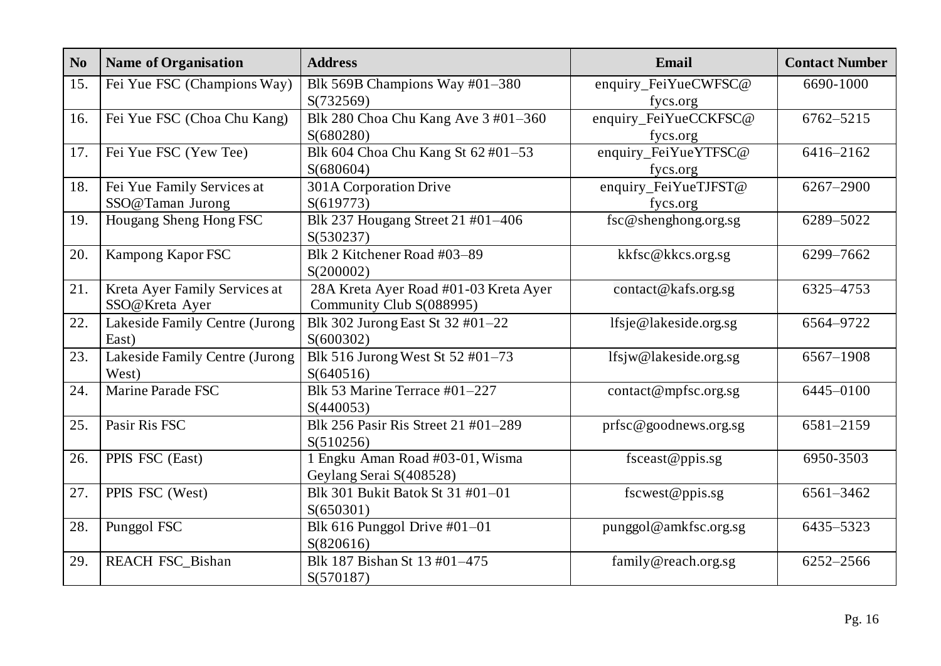| N <sub>0</sub> | <b>Name of Organisation</b>    | <b>Address</b>                        | Email                   | <b>Contact Number</b> |
|----------------|--------------------------------|---------------------------------------|-------------------------|-----------------------|
| 15.            | Fei Yue FSC (Champions Way)    | Blk 569B Champions Way #01-380        | enquiry_FeiYueCWFSC@    | 6690-1000             |
|                |                                | S(732569)                             | fycs.org                |                       |
| 16.            | Fei Yue FSC (Choa Chu Kang)    | Blk 280 Choa Chu Kang Ave 3 #01-360   | enquiry_FeiYueCCKFSC@   | 6762-5215             |
|                |                                | S(680280)                             | fycs.org                |                       |
| 17.            | Fei Yue FSC (Yew Tee)          | Blk 604 Choa Chu Kang St 62 #01-53    | enquiry_FeiYueYTFSC@    | 6416-2162             |
|                |                                | S(680604)                             | fycs.org                |                       |
| 18.            | Fei Yue Family Services at     | 301A Corporation Drive                | enquiry_FeiYueTJFST@    | 6267-2900             |
|                | SSO@Taman Jurong               | S(619773)                             | fycs.org                |                       |
| 19.            | Hougang Sheng Hong FSC         | Blk 237 Hougang Street 21 #01-406     | $fsc@$ shenghong.org.sg | 6289-5022             |
|                |                                | S(530237)                             |                         |                       |
| 20.            | Kampong Kapor FSC              | Blk 2 Kitchener Road #03-89           | kkfsc@kkcs.org.sg       | 6299-7662             |
|                |                                | S(200002)                             |                         |                       |
| 21.            | Kreta Ayer Family Services at  | 28A Kreta Ayer Road #01-03 Kreta Ayer | contact@kafs.org.sg     | 6325-4753             |
|                | SSO@Kreta Ayer                 | Community Club S(088995)              |                         |                       |
| 22.            | Lakeside Family Centre (Jurong | Blk 302 Jurong East St 32 #01-22      | lfsje@lakeside.org.sg   | 6564-9722             |
|                | East)                          | S(600302)                             |                         |                       |
| 23.            | Lakeside Family Centre (Jurong | Blk 516 Jurong West St 52 #01-73      | lfsjw@lakeside.org.sg   | 6567-1908             |
|                | West)                          | S(640516)                             |                         |                       |
| 24.            | Marine Parade FSC              | Blk 53 Marine Terrace #01-227         | contact@mpfsc.org.sg    | 6445-0100             |
|                |                                | S(440053)                             |                         |                       |
| 25.            | Pasir Ris FSC                  | Blk 256 Pasir Ris Street 21 #01-289   | prfsc@goodnews.org.sg   | 6581-2159             |
|                |                                | S(510256)                             |                         |                       |
| 26.            | PPIS FSC (East)                | 1 Engku Aman Road #03-01, Wisma       | fsceast@ppis.sg         | 6950-3503             |
|                |                                | Geylang Serai S(408528)               |                         |                       |
| 27.            | PPIS FSC (West)                | Blk 301 Bukit Batok St 31 #01-01      | fscwest@ppis.sg         | 6561-3462             |
|                |                                | S(650301)                             |                         |                       |
| 28.            | Punggol FSC                    | Blk 616 Punggol Drive $#01-01$        | punggol@amkfsc.org.sg   | 6435-5323             |
|                |                                | S(820616)                             |                         |                       |
| 29.            | <b>REACH FSC_Bishan</b>        | Blk 187 Bishan St 13 #01-475          | family@reach.org.sg     | 6252-2566             |
|                |                                | S(570187)                             |                         |                       |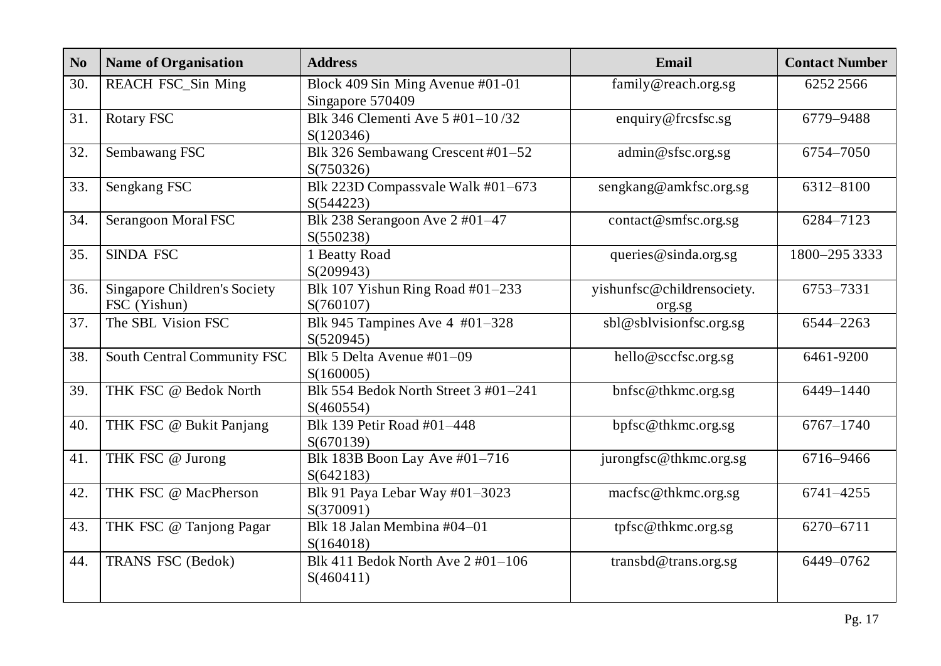| N <sub>o</sub> | <b>Name of Organisation</b>                  | <b>Address</b>                                          | Email                                | <b>Contact Number</b> |
|----------------|----------------------------------------------|---------------------------------------------------------|--------------------------------------|-----------------------|
| 30.            | <b>REACH FSC_Sin Ming</b>                    | Block 409 Sin Ming Avenue #01-01<br>Singapore 570409    | family@reach.org.sg                  | 62522566              |
| 31.            | <b>Rotary FSC</b>                            | Blk 346 Clementi Ave 5 #01-10/32<br>S(120346)           | enquiry@frcsfsc.sg                   | 6779-9488             |
| 32.            | Sembawang FSC                                | Blk 326 Sembawang Crescent #01-52<br>S(750326)          | admin@sfsc.org.sg                    | 6754-7050             |
| 33.            | Sengkang FSC                                 | Blk 223D Compassvale Walk #01-673<br>S(544223)          | sengkang@amkfsc.org.sg               | 6312-8100             |
| 34.            | Serangoon Moral FSC                          | Blk 238 Serangoon Ave 2 #01-47<br>S(550238)             | contact@smfsc.org.sg                 | 6284-7123             |
| 35.            | <b>SINDA FSC</b>                             | 1 Beatty Road<br>S(209943)                              | queries@sinda.org.sg                 | 1800-295 3333         |
| 36.            | Singapore Children's Society<br>FSC (Yishun) | Blk 107 Yishun Ring Road #01-233<br>S(760107)           | yishunfsc@childrensociety.<br>org.sg | 6753-7331             |
| 37.            | The SBL Vision FSC                           | Blk 945 Tampines Ave 4 #01-328<br>S(520945)             | sbl@sblvisionfsc.org.sg              | 6544-2263             |
| 38.            | South Central Community FSC                  | Blk 5 Delta Avenue #01-09<br>S(160005)                  | hello@sccfsc.org.sg                  | 6461-9200             |
| 39.            | THK FSC @ Bedok North                        | Blk 554 Bedok North Street 3 #01-241<br>S(460554)       | bnfsc@thkmc.org.sg                   | 6449-1440             |
| 40.            | THK FSC @ Bukit Panjang                      | Blk 139 Petir Road #01-448<br>S(670139)                 | bpfsc@thkmc.org.sg                   | $6767 - 1740$         |
| 41.            | THK FSC @ Jurong                             | Blk 183B Boon Lay Ave #01-716<br>S(642183)              | jurongfsc@thkmc.org.sg               | 6716-9466             |
| 42.            | THK FSC @ MacPherson                         | Blk 91 Paya Lebar Way #01-3023<br>S(370091)             | macfsc@thkmc.org.sg                  | 6741-4255             |
| 43.            | THK FSC @ Tanjong Pagar                      | Blk 18 Jalan Membina #04-01<br>S(164018)                | tpfsc@thkmc.org.sg                   | 6270-6711             |
| 44.            | TRANS FSC (Bedok)                            | Blk 411 Bedok North Ave $2\text{ }#01-106$<br>S(460411) | transbd@trans.org.sg                 | 6449-0762             |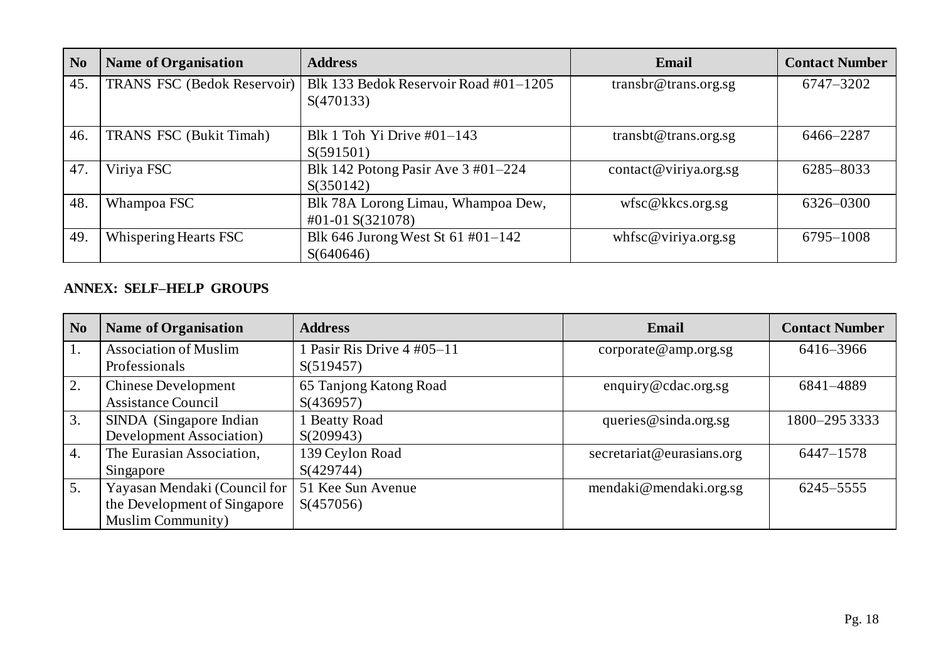| N <sub>0</sub> | <b>Name of Organisation</b>        | <b>Address</b>                                                                  | Email                 | <b>Contact Number</b> |
|----------------|------------------------------------|---------------------------------------------------------------------------------|-----------------------|-----------------------|
| 45.            | <b>TRANS FSC (Bedok Reservoir)</b> | Blk 133 Bedok Reservoir Road #01-1205<br>S(470133)                              | transbr@trans.org.sg  | 6747-3202             |
| 46.            | <b>TRANS FSC (Bukit Timah)</b>     | Blk 1 Toh Yi Drive $\#01-143$<br>S(591501)                                      | transbt@trans.org.sg  | 6466-2287             |
| 47.            | Viriya FSC                         | Blk 142 Potong Pasir Ave $3\text{ #}01-224$<br>S(350142)                        | contact@viriya.org.sg | 6285-8033             |
| 48.            | Whampoa FSC                        | Blk 78A Lorong Limau, Whampoa Dew,<br>$\text{\#}01\text{-}01\ \text{S}(321078)$ | wfsc@kks.org.sg       | 6326-0300             |
| 49.            | Whispering Hearts FSC              | Blk 646 Jurong West St 61 #01-142<br>S(640646)                                  | whfsc@viriya.org.sg   | 6795-1008             |

### **ANNEX: SELF–HELP GROUPS**

| N <sub>o</sub>   | <b>Name of Organisation</b>                                                               | <b>Address</b>                                   | Email                     | <b>Contact Number</b> |
|------------------|-------------------------------------------------------------------------------------------|--------------------------------------------------|---------------------------|-----------------------|
| 1.               | <b>Association of Muslim</b><br>Professionals                                             | 1 Pasir Ris Drive $4\text{ }#05-11$<br>S(519457) | corporte @ amp.org.sg     | 6416-3966             |
| 2.               | <b>Chinese Development</b><br><b>Assistance Council</b>                                   | 65 Tanjong Katong Road<br>S(436957)              | enquiry@cdac.org.sg       | 6841-4889             |
| 3.               | SINDA (Singapore Indian<br>Development Association)                                       | 1 Beatty Road<br>S(209943)                       | queries $@$ sinda.org.sg  | 1800-295 3333         |
| $\overline{4}$ . | The Eurasian Association,<br>Singapore                                                    | 139 Ceylon Road<br>S(429744)                     | secretariat@eurasians.org | $6447 - 1578$         |
| 5.               | Yayasan Mendaki (Council for<br>the Development of Singapore<br><b>Muslim Community</b> ) | 51 Kee Sun Avenue<br>S(457056)                   | mendaki@mendaki.org.sg    | 6245–5555             |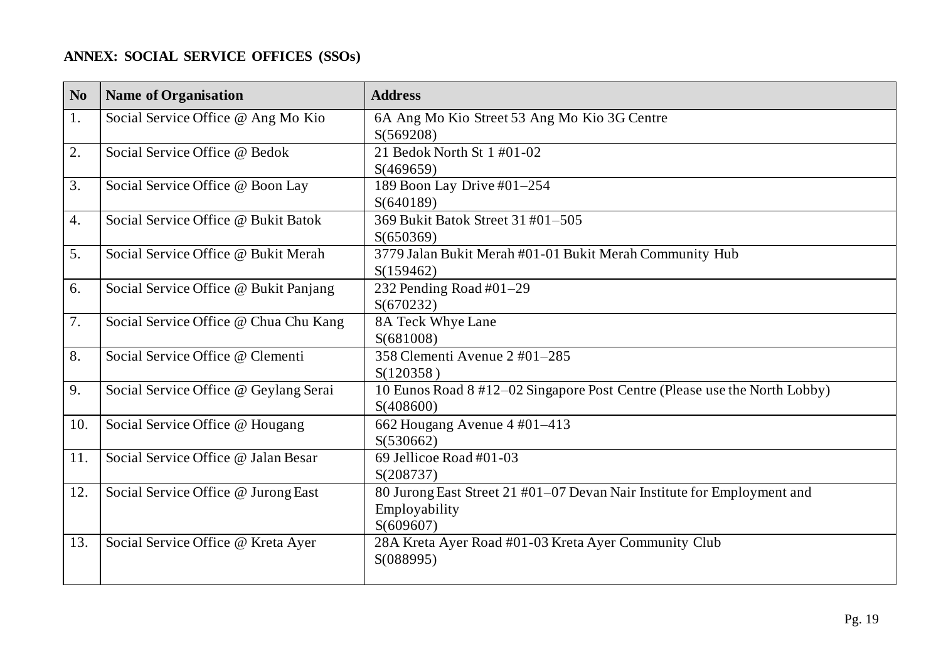## **ANNEX: SOCIAL SERVICE OFFICES (SSOs)**

| N <sub>0</sub> | <b>Name of Organisation</b>           | <b>Address</b>                                                                                        |
|----------------|---------------------------------------|-------------------------------------------------------------------------------------------------------|
| 1.             | Social Service Office @ Ang Mo Kio    | 6A Ang Mo Kio Street 53 Ang Mo Kio 3G Centre<br>S(569208)                                             |
| 2.             | Social Service Office @ Bedok         | 21 Bedok North St 1 #01-02<br>S(469659)                                                               |
| 3.             | Social Service Office @ Boon Lay      | 189 Boon Lay Drive #01-254<br>S(640189)                                                               |
| 4.             | Social Service Office @ Bukit Batok   | 369 Bukit Batok Street 31 #01-505<br>S(650369)                                                        |
| 5.             | Social Service Office @ Bukit Merah   | 3779 Jalan Bukit Merah #01-01 Bukit Merah Community Hub<br>S(159462)                                  |
| 6.             | Social Service Office @ Bukit Panjang | 232 Pending Road #01-29<br>S(670232)                                                                  |
| 7.             | Social Service Office @ Chua Chu Kang | 8A Teck Whye Lane<br>S(681008)                                                                        |
| 8.             | Social Service Office @ Clementi      | 358 Clementi Avenue 2 #01-285<br>S(120358)                                                            |
| 9.             | Social Service Office @ Geylang Serai | 10 Eunos Road 8 #12–02 Singapore Post Centre (Please use the North Lobby)<br>S(408600)                |
| 10.            | Social Service Office @ Hougang       | 662 Hougang Avenue 4 #01-413<br>S(530662)                                                             |
| 11.            | Social Service Office @ Jalan Besar   | 69 Jellicoe Road #01-03<br>S(208737)                                                                  |
| 12.            | Social Service Office @ Jurong East   | 80 Jurong East Street 21 #01-07 Devan Nair Institute for Employment and<br>Employability<br>S(609607) |
| 13.            | Social Service Office @ Kreta Ayer    | 28A Kreta Ayer Road #01-03 Kreta Ayer Community Club<br>S(088995)                                     |